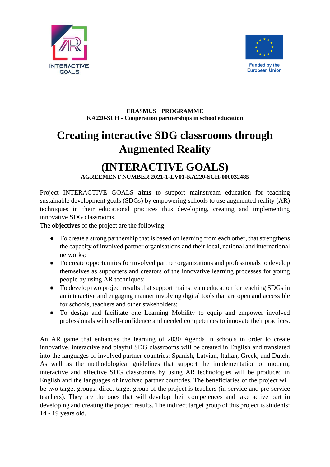



## **ERASMUS+ PROGRAMME KA220-SCH - Cooperation partnerships in school education**

## **Creating interactive SDG classrooms through Augmented Reality**

## **(INTERACTIVE GOALS) AGREEMENT NUMBER 2021-1-LV01-KA220-SCH-000032485**

Project INTERACTIVE GOALS **aims** to support mainstream education for teaching sustainable development goals (SDGs) by empowering schools to use augmented reality (AR) techniques in their educational practices thus developing, creating and implementing innovative SDG classrooms.

The **objectives** of the project are the following:

- To create a strong partnership that is based on learning from each other, that strengthens the capacity of involved partner organisations and their local, national and international networks;
- To create opportunities for involved partner organizations and professionals to develop themselves as supporters and creators of the innovative learning processes for young people by using AR techniques;
- To develop two project results that support mainstream education for teaching SDGs in an interactive and engaging manner involving digital tools that are open and accessible for schools, teachers and other stakeholders;
- To design and facilitate one Learning Mobility to equip and empower involved professionals with self-confidence and needed competences to innovate their practices.

An AR game that enhances the learning of 2030 Agenda in schools in order to create innovative, interactive and playful SDG classrooms will be created in English and translated into the languages of involved partner countries: Spanish, Latvian, Italian, Greek, and Dutch. As well as the methodological guidelines that support the implementation of modern, interactive and effective SDG classrooms by using AR technologies will be produced in English and the languages of involved partner countries. The beneficiaries of the project will be two target groups: direct target group of the project is teachers (in-service and pre-service teachers). They are the ones that will develop their competences and take active part in developing and creating the project results. The indirect target group of this project is students: 14 - 19 years old.